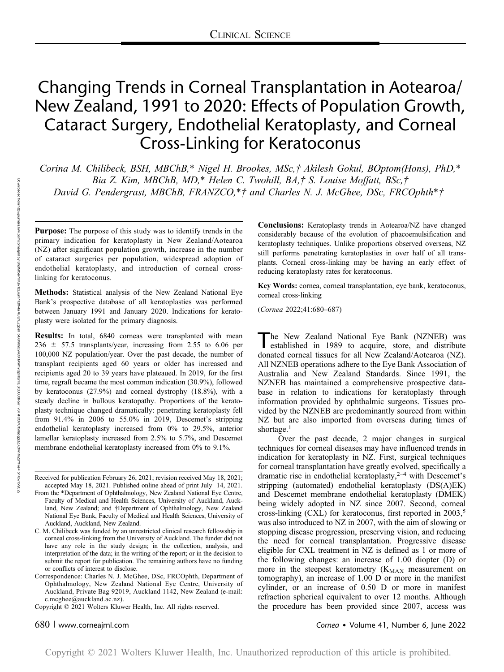# Changing Trends in Corneal Transplantation in Aotearoa/ New Zealand, 1991 to 2020: Effects of Population Growth, Cataract Surgery, Endothelial Keratoplasty, and Corneal Cross-Linking for Keratoconus

Corina M. Chilibeck, BSH, MBChB,\* Nigel H. Brookes, MSc,† Akilesh Gokul, BOptom(Hons), PhD,\* Bia Z. Kim, MBChB, MD,\* Helen C. Twohill, BA,† S. Louise Moffatt, BSc,† David G. Pendergrast, MBChB, FRANZCO,\*† and Charles N. J. McGhee, DSc, FRCOphth\*†

Purpose: The purpose of this study was to identify trends in the primary indication for keratoplasty in New Zealand/Aotearoa (NZ) after significant population growth, increase in the number of cataract surgeries per population, widespread adoption of endothelial keratoplasty, and introduction of corneal crosslinking for keratoconus.

Methods: Statistical analysis of the New Zealand National Eye Bank's prospective database of all keratoplasties was performed between January 1991 and January 2020. Indications for keratoplasty were isolated for the primary diagnosis.

Results: In total, 6840 corneas were transplanted with mean  $236 \pm 57.5$  transplants/year, increasing from 2.55 to 6.06 per 100,000 NZ population/year. Over the past decade, the number of transplant recipients aged 60 years or older has increased and recipients aged 20 to 39 years have plateaued. In 2019, for the first time, regraft became the most common indication (30.9%), followed by keratoconus (27.9%) and corneal dystrophy (18.8%), with a steady decline in bullous keratopathy. Proportions of the keratoplasty technique changed dramatically: penetrating keratoplasty fell from 91.4% in 2006 to 55.0% in 2019, Descemet's stripping endothelial keratoplasty increased from 0% to 29.5%, anterior lamellar keratoplasty increased from 2.5% to 5.7%, and Descemet membrane endothelial keratoplasty increased from 0% to 9.1%.

Received for publication February 26, 2021; revision received May 18, 2021; accepted May 18, 2021. Published online ahead of print July 14, 2021. Conclusions: Keratoplasty trends in Aotearoa/NZ have changed considerably because of the evolution of phacoemulsification and keratoplasty techniques. Unlike proportions observed overseas, NZ still performs penetrating keratoplasties in over half of all transplants. Corneal cross-linking may be having an early effect of reducing keratoplasty rates for keratoconus.

Key Words: cornea, corneal transplantation, eye bank, keratoconus, corneal cross-linking

(Cornea 2022;41:680–687)

The New Zealand National Eye Bank (NZNEB) was<br>established in 1989 to acquire, store, and distribute donated corneal tissues for all New Zealand/Aotearoa (NZ). All NZNEB operations adhere to the Eye Bank Association of Australia and New Zealand Standards. Since 1991, the NZNEB has maintained a comprehensive prospective database in relation to indications for keratoplasty through information provided by ophthalmic surgeons. Tissues provided by the NZNEB are predominantly sourced from within NZ but are also imported from overseas during times of shortage.<sup>1</sup>

Over the past decade, 2 major changes in surgical techniques for corneal diseases may have influenced trends in indication for keratoplasty in NZ. First, surgical techniques for corneal transplantation have greatly evolved, specifically a dramatic rise in endothelial keratoplasty, $2^{-4}$  with Descemet's stripping (automated) endothelial keratoplasty (DS(A)EK) and Descemet membrane endothelial keratoplasty (DMEK) being widely adopted in NZ since 2007. Second, corneal cross-linking (CXL) for keratoconus, first reported in  $2003$ ,<sup>5</sup> was also introduced to NZ in 2007, with the aim of slowing or stopping disease progression, preserving vision, and reducing the need for corneal transplantation. Progressive disease eligible for CXL treatment in NZ is defined as 1 or more of the following changes: an increase of 1.00 diopter (D) or more in the steepest keratometry  $(K_{MAX}$  measurement on tomography), an increase of 1.00 D or more in the manifest cylinder, or an increase of 0.50 D or more in manifest refraction spherical equivalent to over 12 months. Although the procedure has been provided since 2007, access was

From the \*Department of Ophthalmology, New Zealand National Eye Centre, Faculty of Medical and Health Sciences, University of Auckland, Auckland, New Zealand; and †Department of Ophthalmology, New Zealand National Eye Bank, Faculty of Medical and Health Sciences, University of Auckland, Auckland, New Zealand.

C. M. Chilibeck was funded by an unrestricted clinical research fellowship in corneal cross-linking from the University of Auckland. The funder did not have any role in the study design; in the collection, analysis, and interpretation of the data; in the writing of the report; or in the decision to submit the report for publication. The remaining authors have no funding or conflicts of interest to disclose.

Correspondence: Charles N. J. McGhee, DSc, FRCOphth, Department of Ophthalmology, New Zealand National Eye Centre, University of Auckland, Private Bag 92019, Auckland 1142, New Zealand (e-mail: [c.mcghee@auckland.ac.nz\)](mailto:c.mcghee@auckland.ac.nz).

Copyright © 2021 Wolters Kluwer Health, Inc. All rights reserved.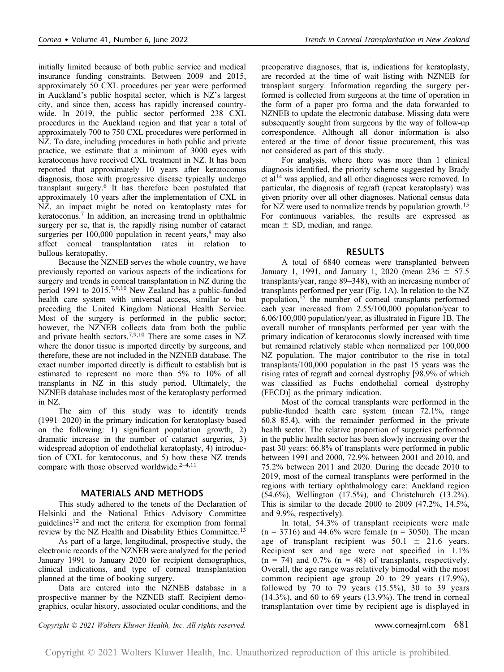initially limited because of both public service and medical insurance funding constraints. Between 2009 and 2015, approximately 50 CXL procedures per year were performed in Auckland's public hospital sector, which is NZ's largest city, and since then, access has rapidly increased countrywide. In 2019, the public sector performed 238 CXL procedures in the Auckland region and that year a total of approximately 700 to 750 CXL procedures were performed in NZ. To date, including procedures in both public and private practice, we estimate that a minimum of 3000 eyes with keratoconus have received CXL treatment in NZ. It has been reported that approximately 10 years after keratoconus diagnosis, those with progressive disease typically undergo transplant surgery.<sup>6</sup> It has therefore been postulated that approximately 10 years after the implementation of CXL in NZ, an impact might be noted on keratoplasty rates for

keratoconus.7 In addition, an increasing trend in ophthalmic surgery per se, that is, the rapidly rising number of cataract surgeries per  $100,000$  population in recent years, $8 \text{ may also}$ affect corneal transplantation rates in relation to bullous keratopathy. Because the NZNEB serves the whole country, we have

previously reported on various aspects of the indications for surgery and trends in corneal transplantation in NZ during the period 1991 to 2015.7,9,10 New Zealand has a public-funded health care system with universal access, similar to but preceding the United Kingdom National Health Service. Most of the surgery is performed in the public sector; however, the NZNEB collects data from both the public and private health sectors.7,9,10 There are some cases in NZ where the donor tissue is imported directly by surgeons, and therefore, these are not included in the NZNEB database. The exact number imported directly is difficult to establish but is estimated to represent no more than 5% to 10% of all transplants in NZ in this study period. Ultimately, the NZNEB database includes most of the keratoplasty performed in NZ.

The aim of this study was to identify trends (1991–2020) in the primary indication for keratoplasty based on the following: 1) significant population growth, 2) dramatic increase in the number of cataract surgeries, 3) widespread adoption of endothelial keratoplasty, 4) introduction of CXL for keratoconus, and 5) how these NZ trends compare with those observed worldwide.<sup>2-4,11</sup>

# MATERIALS AND METHODS

This study adhered to the tenets of the Declaration of Helsinki and the National Ethics Advisory Committee guidelines<sup>12</sup> and met the criteria for exemption from formal review by the NZ Health and Disability Ethics Committee.<sup>13</sup>

As part of a large, longitudinal, prospective study, the electronic records of the NZNEB were analyzed for the period January 1991 to January 2020 for recipient demographics, clinical indications, and type of corneal transplantation planned at the time of booking surgery.

Data are entered into the NZNEB database in a prospective manner by the NZNEB staff. Recipient demographics, ocular history, associated ocular conditions, and the preoperative diagnoses, that is, indications for keratoplasty, are recorded at the time of wait listing with NZNEB for transplant surgery. Information regarding the surgery performed is collected from surgeons at the time of operation in the form of a paper pro forma and the data forwarded to NZNEB to update the electronic database. Missing data were subsequently sought from surgeons by the way of follow-up correspondence. Although all donor information is also entered at the time of donor tissue procurement, this was not considered as part of this study.

For analysis, where there was more than 1 clinical diagnosis identified, the priority scheme suggested by Brady et al<sup>14</sup> was applied, and all other diagnoses were removed. In particular, the diagnosis of regraft (repeat keratoplasty) was given priority over all other diagnoses. National census data for NZ were used to normalize trends by population growth.<sup>15</sup> For continuous variables, the results are expressed as mean  $\pm$  SD, median, and range.

# RESULTS

A total of 6840 corneas were transplanted between January 1, 1991, and January 1, 2020 (mean  $236 \pm 57.5$ transplants/year, range 89–348), with an increasing number of transplants performed per year (Fig. 1A). In relation to the NZ population,<sup>15</sup> the number of corneal transplants performed each year increased from 2.55/100,000 population/year to 6.06/100,000 population/year, as illustrated in Figure 1B. The overall number of transplants performed per year with the primary indication of keratoconus slowly increased with time but remained relatively stable when normalized per 100,000 NZ population. The major contributor to the rise in total transplants/100,000 population in the past 15 years was the rising rates of regraft and corneal dystrophy [98.9% of which was classified as Fuchs endothelial corneal dystrophy (FECD)] as the primary indication.

Most of the corneal transplants were performed in the public-funded health care system (mean 72.1%, range 60.8–85.4), with the remainder performed in the private health sector. The relative proportion of surgeries performed in the public health sector has been slowly increasing over the past 30 years: 66.8% of transplants were performed in public between 1991 and 2000, 72.9% between 2001 and 2010, and 75.2% between 2011 and 2020. During the decade 2010 to 2019, most of the corneal transplants were performed in the regions with tertiary ophthalmology care: Auckland region (54.6%), Wellington (17.5%), and Christchurch (13.2%). This is similar to the decade 2000 to 2009 (47.2%, 14.5%, and 9.9%, respectively).

In total, 54.3% of transplant recipients were male  $(n = 3716)$  and 44.6% were female  $(n = 3050)$ . The mean age of transplant recipient was  $50.1 \pm 21.6$  years. Recipient sex and age were not specified in 1.1%  $(n = 74)$  and 0.7%  $(n = 48)$  of transplants, respectively. Overall, the age range was relatively bimodal with the most common recipient age group 20 to 29 years (17.9%), followed by  $70$  to  $79$  years  $(15.5\%)$ ,  $30$  to  $39$  years (14.3%), and 60 to 69 years (13.9%). The trend in corneal transplantation over time by recipient age is displayed in

Copyright  $\odot$  2021 Wolters Kluwer Health, Inc. All rights reserved. www.corneajrnl.com | 681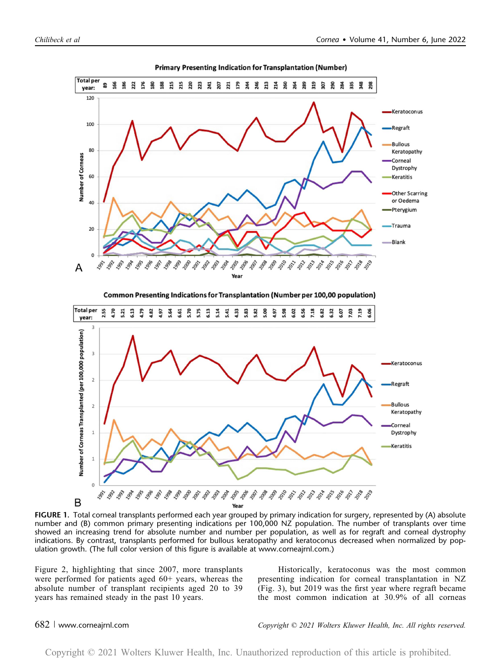**Total per** 

year:  $120$ 

100

80

60

40

20

 $\Omega$ 

A

1991 1992

Number of Corneas

õ,





FIGURE 1. Total corneal transplants performed each year grouped by primary indication for surgery, represented by (A) absolute number and (B) common primary presenting indications per 100,000 NZ population. The number of transplants over time showed an increasing trend for absolute number and number per population, as well as for regraft and corneal dystrophy indications. By contrast, transplants performed for bullous keratopathy and keratoconus decreased when normalized by population growth. (The full color version of this figure is available at [www.corneajrnl.com.](http://www.corneajrnl.com))

Figure 2, highlighting that since 2007, more transplants were performed for patients aged 60+ years, whereas the absolute number of transplant recipients aged 20 to 39 years has remained steady in the past 10 years.

Historically, keratoconus was the most common presenting indication for corneal transplantation in NZ (Fig. 3), but 2019 was the first year where regraft became the most common indication at 30.9% of all corneas

# 682 <sup>|</sup> www.corneajrnl.com Copyright © 2021 Wolters Kluwer Health, Inc. All rights reserved.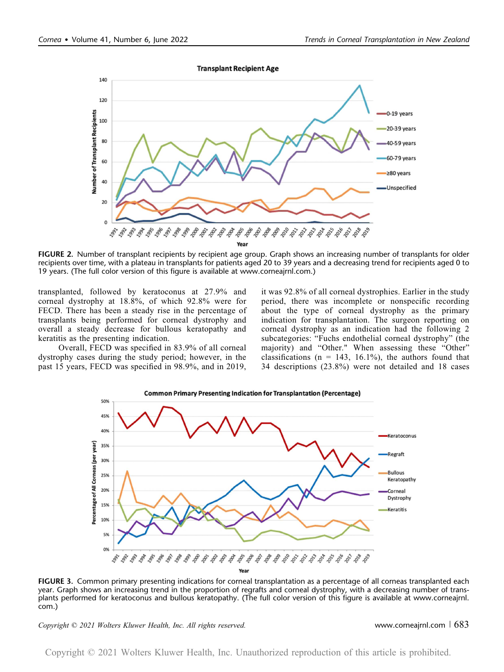**Transplant Recipient Age** 



FIGURE 2. Number of transplant recipients by recipient age group. Graph shows an increasing number of transplants for older recipients over time, with a plateau in transplants for patients aged 20 to 39 years and a decreasing trend for recipients aged 0 to 19 years. (The full color version of this figure is available at [www.corneajrnl.com](http://www.corneajrnl.com).)

transplanted, followed by keratoconus at 27.9% and corneal dystrophy at 18.8%, of which 92.8% were for FECD. There has been a steady rise in the percentage of transplants being performed for corneal dystrophy and overall a steady decrease for bullous keratopathy and keratitis as the presenting indication.

Overall, FECD was specified in 83.9% of all corneal dystrophy cases during the study period; however, in the past 15 years, FECD was specified in 98.9%, and in 2019, it was 92.8% of all corneal dystrophies. Earlier in the study period, there was incomplete or nonspecific recording about the type of corneal dystrophy as the primary indication for transplantation. The surgeon reporting on corneal dystrophy as an indication had the following 2 subcategories: "Fuchs endothelial corneal dystrophy" (the majority) and "Other." When assessing these "Other" classifications ( $n = 143, 16.1\%$ ), the authors found that 34 descriptions (23.8%) were not detailed and 18 cases



FIGURE 3. Common primary presenting indications for corneal transplantation as a percentage of all corneas transplanted each year. Graph shows an increasing trend in the proportion of regrafts and corneal dystrophy, with a decreasing number of transplants performed for keratoconus and bullous keratopathy. (The full color version of this figure is available at [www.corneajrnl.](http://www.corneajrnl.com) [com](http://www.corneajrnl.com).)

Copyright © 2021 Wolters Kluwer Health, Inc. All rights reserved. Www.corneajrnl.com | 683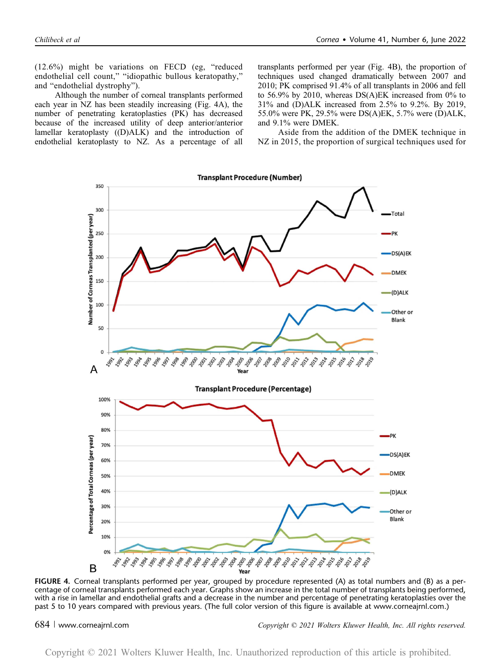(12.6%) might be variations on FECD (eg, "reduced endothelial cell count," "idiopathic bullous keratopathy," and "endothelial dystrophy").

Although the number of corneal transplants performed each year in NZ has been steadily increasing (Fig. 4A), the number of penetrating keratoplasties (PK) has decreased because of the increased utility of deep anterior/anterior lamellar keratoplasty ((D)ALK) and the introduction of endothelial keratoplasty to NZ. As a percentage of all

transplants performed per year (Fig. 4B), the proportion of techniques used changed dramatically between 2007 and 2010; PK comprised 91.4% of all transplants in 2006 and fell to 56.9% by 2010, whereas DS(A)EK increased from 0% to 31% and (D)ALK increased from 2.5% to 9.2%. By 2019, 55.0% were PK, 29.5% were DS(A)EK, 5.7% were (D)ALK, and 9.1% were DMEK.

Aside from the addition of the DMEK technique in NZ in 2015, the proportion of surgical techniques used for



FIGURE 4. Corneal transplants performed per year, grouped by procedure represented (A) as total numbers and (B) as a percentage of corneal transplants performed each year. Graphs show an increase in the total number of transplants being performed, with a rise in lamellar and endothelial grafts and a decrease in the number and percentage of penetrating keratoplasties over the past 5 to 10 years compared with previous years. (The full color version of this figure is available at [www.corneajrnl.com.](http://www.corneajrnl.com))

684 <sup>|</sup> www.corneajrnl.com Copyright © 2021 Wolters Kluwer Health, Inc. All rights reserved.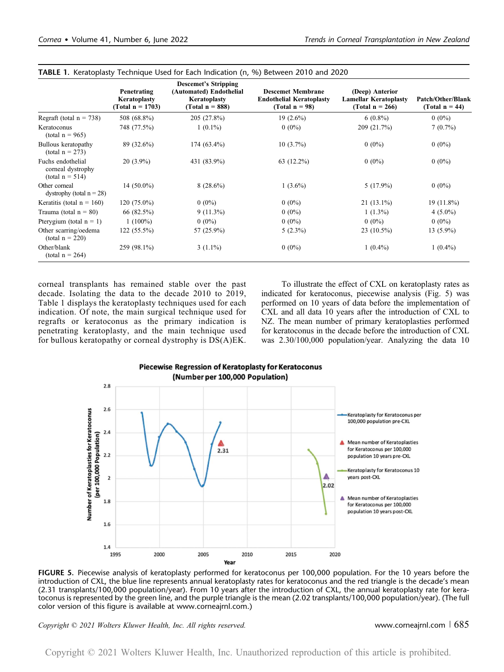|                                                              | Penetrating<br>Keratoplasty<br>(Total $n = 1703$ ) | <b>Descemet's Stripping</b><br>(Automated) Endothelial<br>Keratoplasty<br>(Total $n = 888$ ) | <b>Descemet Membrane</b><br><b>Endothelial Keratoplasty</b><br>(Total $n = 98$ ) | (Deep) Anterior<br><b>Lamellar Keratoplasty</b><br>(Total $n = 266$ ) | Patch/Other/Blank<br>(Total $n = 44$ ) |
|--------------------------------------------------------------|----------------------------------------------------|----------------------------------------------------------------------------------------------|----------------------------------------------------------------------------------|-----------------------------------------------------------------------|----------------------------------------|
| Regraft (total $n = 738$ )                                   | 508 (68.8%)                                        | 205 (27.8%)                                                                                  | $19(2.6\%)$                                                                      | $6(0.8\%)$                                                            | $0(0\%)$                               |
| Keratoconus<br>$(total n = 965)$                             | 748 (77.5%)                                        | $1(0.1\%)$                                                                                   | $0(0\%)$                                                                         | 209 (21.7%)                                                           | $7(0.7\%)$                             |
| Bullous keratopathy<br>$(total n = 273)$                     | 89 (32.6%)                                         | 174 (63.4%)                                                                                  | $10(3.7\%)$                                                                      | $0(0\%)$                                                              | $0(0\%)$                               |
| Fuchs endothelial<br>corneal dystrophy<br>(total $n = 514$ ) | $20(3.9\%)$                                        | 431 (83.9%)                                                                                  | 63 (12.2%)                                                                       | $0(0\%)$                                                              | $0(0\%)$                               |
| Other corneal<br>dystrophy (total $n = 28$ )                 | 14 $(50.0\%)$                                      | $8(28.6\%)$                                                                                  | $1(3.6\%)$                                                                       | $5(17.9\%)$                                                           | $0(0\%)$                               |
| Keratitis (total $n = 160$ )                                 | $120(75.0\%)$                                      | $0(0\%)$                                                                                     | $0(0\%)$                                                                         | $21(13.1\%)$                                                          | $19(11.8\%)$                           |
| Trauma (total $n = 80$ )                                     | 66 (82.5%)                                         | $9(11.3\%)$                                                                                  | $0(0\%)$                                                                         | $1(1.3\%)$                                                            | $4(5.0\%)$                             |
| Pterygium (total $n = 1$ )                                   | $1(100\%)$                                         | $0(0\%)$                                                                                     | $0(0\%)$                                                                         | $0(0\%)$                                                              | $0(0\%)$                               |
| Other scarring/oedema<br>$(total n = 220)$                   | $122(55.5\%)$                                      | 57 (25.9%)                                                                                   | $5(2.3\%)$                                                                       | 23 (10.5%)                                                            | $13(5.9\%)$                            |
| Other/blank<br>(total $n = 264$ )                            | 259 (98.1%)                                        | $3(1.1\%)$                                                                                   | $0(0\%)$                                                                         | $1(0.4\%)$                                                            | $1(0.4\%)$                             |

TABLE 1. Keratoplasty Technique Used for Each Indication (n, %) Between 2010 and 2020

corneal transplants has remained stable over the past decade. Isolating the data to the decade 2010 to 2019, Table 1 displays the keratoplasty techniques used for each indication. Of note, the main surgical technique used for regrafts or keratoconus as the primary indication is penetrating keratoplasty, and the main technique used for bullous keratopathy or corneal dystrophy is DS(A)EK.

To illustrate the effect of CXL on keratoplasty rates as indicated for keratoconus, piecewise analysis (Fig. 5) was performed on 10 years of data before the implementation of CXL and all data 10 years after the introduction of CXL to NZ. The mean number of primary keratoplasties performed for keratoconus in the decade before the introduction of CXL was 2.30/100,000 population/year. Analyzing the data 10



FIGURE 5. Piecewise analysis of keratoplasty performed for keratoconus per 100,000 population. For the 10 years before the introduction of CXL, the blue line represents annual keratoplasty rates for keratoconus and the red triangle is the decade's mean (2.31 transplants/100,000 population/year). From 10 years after the introduction of CXL, the annual keratoplasty rate for keratoconus is represented by the green line, and the purple triangle is the mean (2.02 transplants/100,000 population/year). (The full color version of this figure is available at [www.corneajrnl.com](http://www.corneajrnl.com).)

Copyright © 2021 Wolters Kluwer Health, Inc. All rights reserved. www.corneajrnl.com <sup>|</sup> 685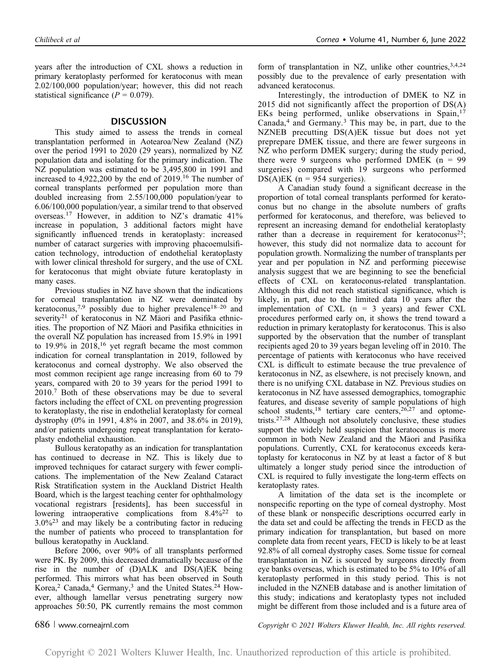years after the introduction of CXL shows a reduction in primary keratoplasty performed for keratoconus with mean 2.02/100,000 population/year; however, this did not reach statistical significance ( $P = 0.079$ ).

### **DISCUSSION**

This study aimed to assess the trends in corneal transplantation performed in Aotearoa/New Zealand (NZ) over the period 1991 to 2020 (29 years), normalized by NZ population data and isolating for the primary indication. The NZ population was estimated to be 3,495,800 in 1991 and increased to 4,922,200 by the end of 2019.<sup>16</sup> The number of corneal transplants performed per population more than doubled increasing from 2.55/100,000 population/year to 6.06/100,000 population/year, a similar trend to that observed overseas.<sup>17</sup> However, in addition to NZ's dramatic 41% increase in population, 3 additional factors might have significantly influenced trends in keratoplasty: increased number of cataract surgeries with improving phacoemulsification technology, introduction of endothelial keratoplasty with lower clinical threshold for surgery, and the use of CXL for keratoconus that might obviate future keratoplasty in many cases.

Previous studies in NZ have shown that the indications for corneal transplantation in NZ were dominated by keratoconus,<sup>7,9</sup> possibly due to higher prevalence<sup>18-20</sup> and severity<sup>21</sup> of keratoconus in NZ Maori and Pasifika ethnicities. The proportion of NZ Maori and Pasifika ethnicities in the overall NZ population has increased from 15.9% in 1991 to 19.9% in  $2018$ ,<sup>16</sup> yet regraft became the most common indication for corneal transplantation in 2019, followed by keratoconus and corneal dystrophy. We also observed the most common recipient age range increasing from 60 to 79 years, compared with 20 to 39 years for the period 1991 to 2010.<sup>7</sup> Both of these observations may be due to several factors including the effect of CXL on preventing progression to keratoplasty, the rise in endothelial keratoplasty for corneal dystrophy (0% in 1991, 4.8% in 2007, and 38.6% in 2019), and/or patients undergoing repeat transplantation for keratoplasty endothelial exhaustion.

Bullous keratopathy as an indication for transplantation has continued to decrease in NZ. This is likely due to improved techniques for cataract surgery with fewer complications. The implementation of the New Zealand Cataract Risk Stratification system in the Auckland District Health Board, which is the largest teaching center for ophthalmology vocational registrars [residents], has been successful in lowering intraoperative complications from 8.4%<sup>22</sup> to  $3.0\%$ <sup>23</sup> and may likely be a contributing factor in reducing the number of patients who proceed to transplantation for bullous keratopathy in Auckland.

Before 2006, over 90% of all transplants performed were PK. By 2009, this decreased dramatically because of the rise in the number of (D)ALK and DS(A)EK being performed. This mirrors what has been observed in South Korea,<sup>2</sup> Canada,<sup>4</sup> Germany,<sup>3</sup> and the United States.<sup>24</sup> However, although lamellar versus penetrating surgery now approaches 50:50, PK currently remains the most common form of transplantation in NZ, unlike other countries,  $3,4,24$ possibly due to the prevalence of early presentation with advanced keratoconus.

Interestingly, the introduction of DMEK to NZ in 2015 did not significantly affect the proportion of DS(A) EKs being performed, unlike observations in Spain,<sup>17</sup> Canada, $4$  and Germany. $3$  This may be, in part, due to the NZNEB precutting DS(A)EK tissue but does not yet preprepare DMEK tissue, and there are fewer surgeons in NZ who perform DMEK surgery; during the study period, there were 9 surgeons who performed DMEK  $(n = 99)$ surgeries) compared with 19 surgeons who performed DS(A)EK ( $n = 954$  surgeries).

A Canadian study found a significant decrease in the proportion of total corneal transplants performed for keratoconus but no change in the absolute numbers of grafts performed for keratoconus, and therefore, was believed to represent an increasing demand for endothelial keratoplasty rather than a decrease in requirement for keratoconus<sup>25</sup>; however, this study did not normalize data to account for population growth. Normalizing the number of transplants per year and per population in NZ and performing piecewise analysis suggest that we are beginning to see the beneficial effects of CXL on keratoconus-related transplantation. Although this did not reach statistical significance, which is likely, in part, due to the limited data 10 years after the implementation of CXL  $(n = 3$  years) and fewer CXL procedures performed early on, it shows the trend toward a reduction in primary keratoplasty for keratoconus. This is also supported by the observation that the number of transplant recipients aged 20 to 39 years began leveling off in 2010. The percentage of patients with keratoconus who have received CXL is difficult to estimate because the true prevalence of keratoconus in NZ, as elsewhere, is not precisely known, and there is no unifying CXL database in NZ. Previous studies on keratoconus in NZ have assessed demographics, tomographic features, and disease severity of sample populations of high school students,<sup>18</sup> tertiary care centers,<sup>26,27</sup> and optometrists.27,28 Although not absolutely conclusive, these studies support the widely held suspicion that keratoconus is more common in both New Zealand and the Maori and Pasifika populations. Currently, CXL for keratoconus exceeds keratoplasty for keratoconus in NZ by at least a factor of 8 but ultimately a longer study period since the introduction of CXL is required to fully investigate the long-term effects on keratoplasty rates.

A limitation of the data set is the incomplete or nonspecific reporting on the type of corneal dystrophy. Most of these blank or nonspecific descriptions occurred early in the data set and could be affecting the trends in FECD as the primary indication for transplantation, but based on more complete data from recent years, FECD is likely to be at least 92.8% of all corneal dystrophy cases. Some tissue for corneal transplantation in NZ is sourced by surgeons directly from eye banks overseas, which is estimated to be 5% to 10% of all keratoplasty performed in this study period. This is not included in the NZNEB database and is another limitation of this study; indications and keratoplasty types not included might be different from those included and is a future area of

686 <sup>|</sup> www.corneajrnl.com Copyright © 2021 Wolters Kluwer Health, Inc. All rights reserved.